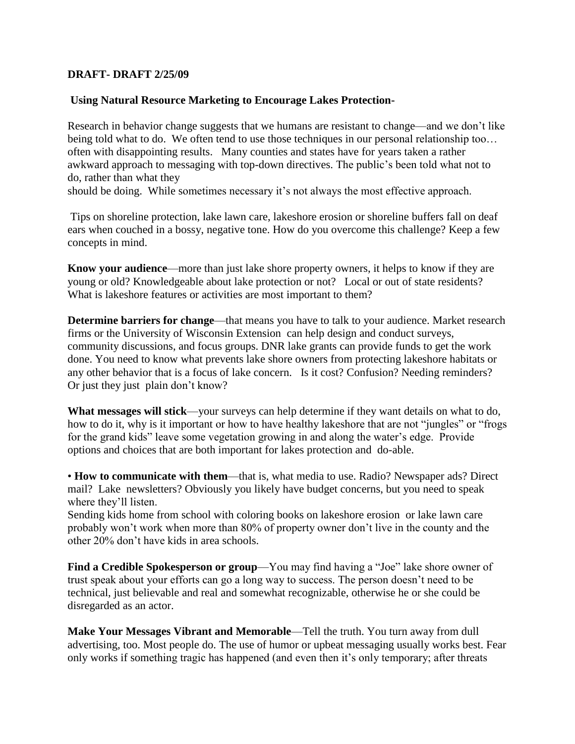## **DRAFT- DRAFT 2/25/09**

## **Using Natural Resource Marketing to Encourage Lakes Protection-**

Research in behavior change suggests that we humans are resistant to change—and we don't like being told what to do. We often tend to use those techniques in our personal relationship too... often with disappointing results. Many counties and states have for years taken a rather awkward approach to messaging with top-down directives. The public's been told what not to do, rather than what they

should be doing. While sometimes necessary it's not always the most effective approach.

Tips on shoreline protection, lake lawn care, lakeshore erosion or shoreline buffers fall on deaf ears when couched in a bossy, negative tone. How do you overcome this challenge? Keep a few concepts in mind.

**Know your audience**—more than just lake shore property owners, it helps to know if they are young or old? Knowledgeable about lake protection or not? Local or out of state residents? What is lakeshore features or activities are most important to them?

**Determine barriers for change—that means you have to talk to your audience. Market research** firms or the University of Wisconsin Extension can help design and conduct surveys, community discussions, and focus groups. DNR lake grants can provide funds to get the work done. You need to know what prevents lake shore owners from protecting lakeshore habitats or any other behavior that is a focus of lake concern. Is it cost? Confusion? Needing reminders? Or just they just plain don't know?

**What messages will stick**—your surveys can help determine if they want details on what to do, how to do it, why is it important or how to have healthy lakeshore that are not "jungles" or "frogs for the grand kids" leave some vegetation growing in and along the water's edge. Provide options and choices that are both important for lakes protection and do-able.

• **How to communicate with them**—that is, what media to use. Radio? Newspaper ads? Direct mail? Lake newsletters? Obviously you likely have budget concerns, but you need to speak where they'll listen.

Sending kids home from school with coloring books on lakeshore erosion or lake lawn care probably won't work when more than 80% of property owner don't live in the county and the other 20% don't have kids in area schools.

**Find a Credible Spokesperson or group—You may find having a "Joe" lake shore owner of** trust speak about your efforts can go a long way to success. The person doesn't need to be technical, just believable and real and somewhat recognizable, otherwise he or she could be disregarded as an actor.

**Make Your Messages Vibrant and Memorable**—Tell the truth. You turn away from dull advertising, too. Most people do. The use of humor or upbeat messaging usually works best. Fear only works if something tragic has happened (and even then it's only temporary; after threats